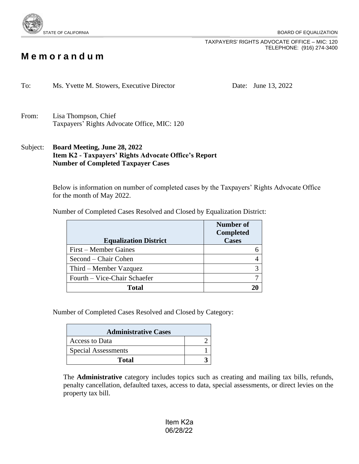

TAXPAYERS' RIGHTS ADVOCATE OFFICE – MIC: 120 TELEPHONE: (916) 274-3400

## **M e m o r a n d u m**

To: Ms. Yvette M. Stowers, Executive Director Date: June 13, 2022

- From: Lisa Thompson, Chief Taxpayers' Rights Advocate Office, MIC: 120
- Subject: **Board Meeting, June 28, 2022 Item K2 - Taxpayers' Rights Advocate Office's Report Number of Completed Taxpayer Cases**

Below is information on number of completed cases by the Taxpayers' Rights Advocate Office for the month of May 2022.

Number of Completed Cases Resolved and Closed by Equalization District:

|                              | <b>Number</b> of |
|------------------------------|------------------|
|                              | <b>Completed</b> |
| <b>Equalization District</b> | <b>Cases</b>     |
| First – Member Gaines        |                  |
| Second – Chair Cohen         |                  |
| Third – Member Vazquez       |                  |
| Fourth – Vice-Chair Schaefer |                  |
| Total                        |                  |

Number of Completed Cases Resolved and Closed by Category:

| <b>Administrative Cases</b> |  |  |
|-----------------------------|--|--|
| Access to Data              |  |  |
| <b>Special Assessments</b>  |  |  |
| Total                       |  |  |

The **Administrative** category includes topics such as creating and mailing tax bills, refunds, penalty cancellation, defaulted taxes, access to data, special assessments, or direct levies on the property tax bill.